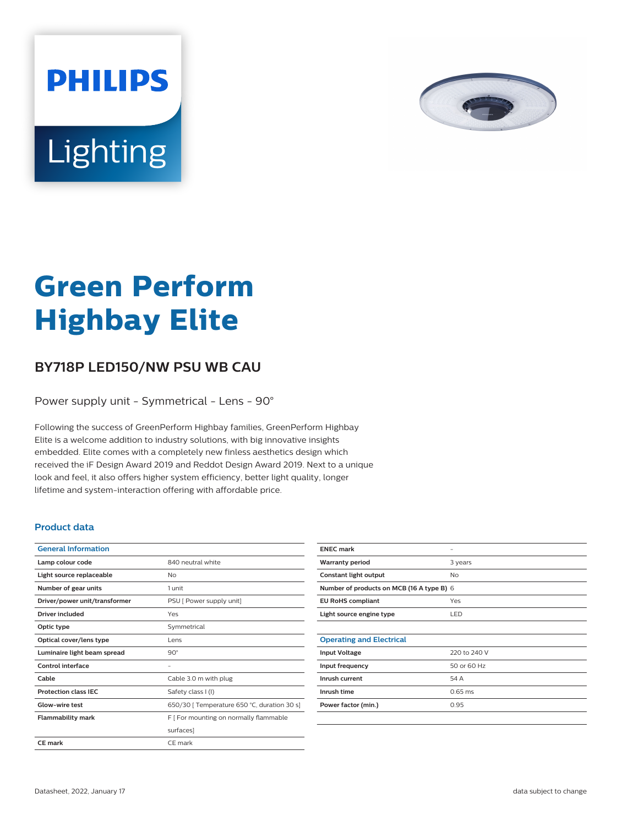

# Lighting

**PHILIPS** 

# **Green Perform Highbay Elite**

## **BY718P LED150/NW PSU WB CAU**

Power supply unit - Symmetrical - Lens - 90°

Following the success of GreenPerform Highbay families, GreenPerform Highbay Elite is a welcome addition to industry solutions, with big innovative insights embedded. Elite comes with a completely new finless aesthetics design which received the iF Design Award 2019 and Reddot Design Award 2019. Next to a unique look and feel, it also offers higher system efficiency, better light quality, longer lifetime and system-interaction offering with affordable price.

#### **Product data**

| <b>General Information</b>    |                                             |
|-------------------------------|---------------------------------------------|
| Lamp colour code              | 840 neutral white                           |
| Light source replaceable      | Nο                                          |
| Number of gear units          | 1 unit                                      |
| Driver/power unit/transformer | PSU [ Power supply unit]                    |
| Driver included               | Yes                                         |
| Optic type                    | Symmetrical                                 |
| Optical cover/lens type       | Lens                                        |
| Luminaire light beam spread   | $90^\circ$                                  |
| Control interface             | -                                           |
| Cable                         | Cable 3.0 m with plug                       |
| <b>Protection class IEC</b>   | Safety class I (I)                          |
| Glow-wire test                | 650/30 [ Temperature 650 °C, duration 30 s] |
| <b>Flammability mark</b>      | F   For mounting on normally flammable      |
|                               | surfaces]                                   |
| CE mark                       | CE mark                                     |
|                               |                                             |

| <b>ENEC mark</b>                          |              |  |
|-------------------------------------------|--------------|--|
| <b>Warranty period</b>                    | 3 years      |  |
| Constant light output                     | <b>No</b>    |  |
| Number of products on MCB (16 A type B) 6 |              |  |
| <b>EU RoHS compliant</b>                  | Yes          |  |
| Light source engine type                  | LED          |  |
|                                           |              |  |
| <b>Operating and Electrical</b>           |              |  |
| <b>Input Voltage</b>                      | 220 to 240 V |  |
| Input frequency                           | 50 or 60 Hz  |  |
| Inrush current                            | 54 A         |  |
| Inrush time                               | $0.65$ ms    |  |
| Power factor (min.)                       | 0.95         |  |
|                                           |              |  |